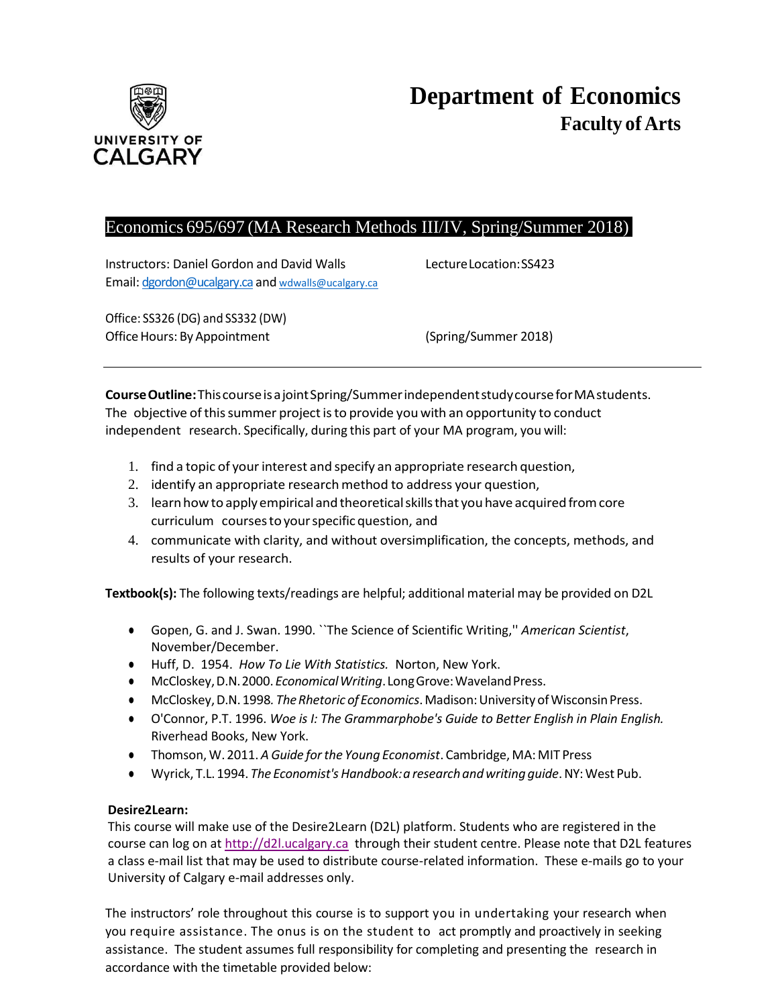

# Economics 695/697 (MA Research Methods III/IV, Spring/Summer 2018)

Instructors: Daniel Gordon and David Walls LectureLocation:SS423 Email: [dgordon@ucalgary.ca](mailto:dgordon@ucalgary.ca) and [wdwalls@ucalgary.ca](mailto:wdwalls@ucalgary.ca)

Office: SS326 (DG) and SS332 (DW) Office Hours: By Appointment (Spring/Summer 2018)

**CourseOutline:**ThiscourseisajointSpring/SummerindependentstudycourseforMAstudents. The objective of this summer project is to provide you with an opportunity to conduct independent research. Specifically, during this part of your MA program, you will:

- 1. find a topic of your interest and specify an appropriate research question,
- 2. identify an appropriate researchmethod to address your question,
- 3. learnhowto applyempirical andtheoreticalskillsthat you have acquiredfromcore curriculum coursestoyourspecificquestion, and
- 4. communicate with clarity, and without oversimplification, the concepts, methods, and results of your research.

**Textbook(s):** The following texts/readings are helpful; additional material may be provided on D2L

- Gopen, G. and J. Swan. 1990. ``The Science of Scientific Writing,'' *American Scientist*, November/December.
- Huff, D. 1954. *How To Lie With Statistics.* Norton, New York.
- McCloskey,D.N.2000.*EconomicalWriting*. LongGrove:WavelandPress.
- McCloskey,D.N. 1998*. TheRhetoric of Economics*.Madison:UniversityofWisconsinPress.
- O'Connor, P.T. 1996. *Woe is I: The Grammarphobe's Guide to Better English in Plain English.* Riverhead Books, New York.
- Thomson, W. 2011. *A Guide forthe Young Economist*. Cambridge,MA: MIT Press
- Wyrick, T.L. 1994. *The Economist'sHandbook:a researchandwriting guide*.NY:West Pub.

# **Desire2Learn:**

This course will make use of the Desire2Learn (D2L) platform. Students who are registered in the course can log on at [http://d2l.ucalgary.ca](http://d2l.ucalgary.ca/) through their student centre. Please note that D2L features a class e-mail list that may be used to distribute course-related information. These e-mails go to your University of Calgary e-mail addresses only.

The instructors' role throughout this course is to support you in undertaking your research when you require assistance. The onus is on the student to act promptly and proactively in seeking assistance. The student assumes full responsibility for completing and presenting the research in accordance with the timetable provided below: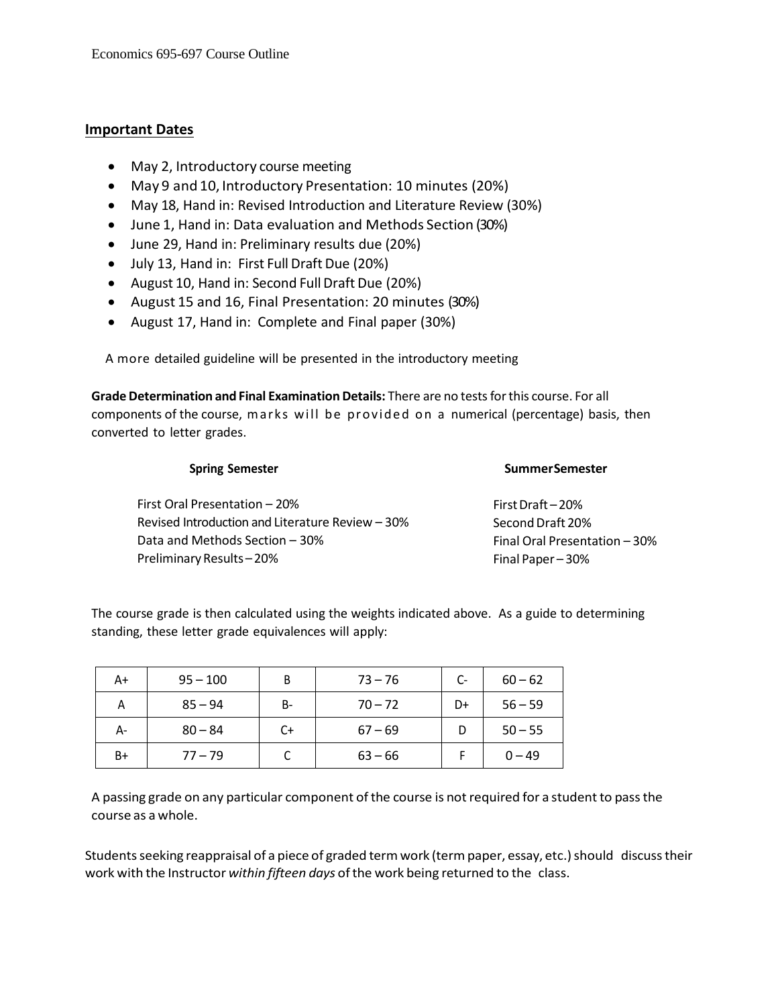# **Important Dates**

- May 2, Introductory course meeting
- May 9 and 10, Introductory Presentation: 10 minutes (20%)
- May 18, Hand in: Revised Introduction and Literature Review (30%)
- June 1, Hand in: Data evaluation and Methods Section (30%)
- June 29, Hand in: Preliminary results due (20%)
- July 13, Hand in: First Full Draft Due (20%)
- August 10, Hand in: Second Full Draft Due (20%)
- August 15 and 16, Final Presentation: 20 minutes (30%)
- August 17, Hand in: Complete and Final paper (30%)

A more detailed guideline will be presented in the introductory meeting

**Grade Determination and Final Examination Details:** There are no testsforthis course. For all components of the course, marks will be provided on a numerical (percentage) basis, then converted to letter grades.

| <b>Spring Semester</b>                           | <b>SummerSemester</b>         |  |  |
|--------------------------------------------------|-------------------------------|--|--|
| First Oral Presentation - 20%                    | First Draft $-20%$            |  |  |
| Revised Introduction and Literature Review - 30% | Second Draft 20%              |  |  |
| Data and Methods Section - 30%                   | Final Oral Presentation - 30% |  |  |
| Preliminary Results-20%                          | Final Paper-30%               |  |  |
|                                                  |                               |  |  |

The course grade is then calculated using the weights indicated above. As a guide to determining standing, these letter grade equivalences will apply:

| A+ | $95 - 100$ |           | $73 - 76$ | C- | $60 - 62$ |
|----|------------|-----------|-----------|----|-----------|
| Α  | $85 - 94$  | <b>B-</b> | $70 - 72$ | D+ | $56 - 59$ |
| А- | $80 - 84$  | C+        | $67 - 69$ |    | $50 - 55$ |
| B+ | $77 - 79$  |           | $63 - 66$ |    | $0 - 49$  |

A passing grade on any particular component of the course is not required for a student to pass the course as a whole.

Students seeking reappraisal of a piece of graded term work (term paper, essay, etc.) should discuss their work with the Instructor within fifteen days of the work being returned to the class.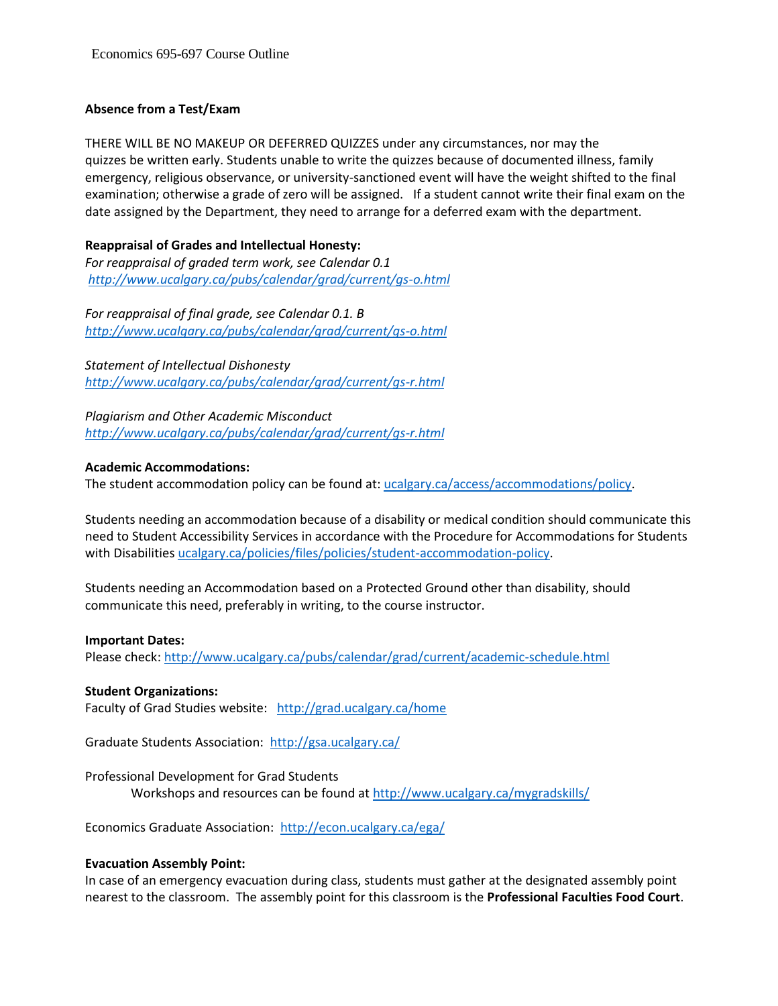# **Absence from a Test/Exam**

THERE WILL BE NO MAKEUP OR DEFERRED QUIZZES under any circumstances, nor may the quizzes be written early. Students unable to write the quizzes because of documented illness, family emergency, religious observance, or university-sanctioned event will have the weight shifted to the final examination; otherwise a grade of zero will be assigned. If a student cannot write their final exam on the date assigned by the Department, they need to arrange for a deferred exam with the department.

# **Reappraisal of Grades and Intellectual Honesty:**

*For reappraisal of graded term work, see Calendar 0.1 <http://www.ucalgary.ca/pubs/calendar/grad/current/gs-o.html>*

*For reappraisal of final grade, see Calendar 0.1. B <http://www.ucalgary.ca/pubs/calendar/grad/current/gs-o.html>*

*Statement of Intellectual Dishonesty <http://www.ucalgary.ca/pubs/calendar/grad/current/gs-r.html>*

*Plagiarism and Other Academic Misconduct <http://www.ucalgary.ca/pubs/calendar/grad/current/gs-r.html>*

### **Academic Accommodations:**

The student accommodation policy can be found at: [ucalgary.ca/access/accommodations/policy.](http://www.ucalgary.ca/access/accommodations/policy)

Students needing an accommodation because of a disability or medical condition should communicate this need to Student Accessibility Services in accordance with the Procedure for Accommodations for Students with Disabilities [ucalgary.ca/policies/files/policies/student-accommodation-policy.](http://www.ucalgary.ca/policies/files/policies/student-accommodation-policy.pdf)

Students needing an Accommodation based on a Protected Ground other than disability, should communicate this need, preferably in writing, to the course instructor.

#### **Important Dates:**

Please check:<http://www.ucalgary.ca/pubs/calendar/grad/current/academic-schedule.html>

### **Student Organizations:**

Faculty of Grad Studies website: <http://grad.ucalgary.ca/home>

Graduate Students Association:<http://gsa.ucalgary.ca/>

Professional Development for Grad Students Workshops and resources can be found at<http://www.ucalgary.ca/mygradskills/>

Economics Graduate Association:<http://econ.ucalgary.ca/ega/>

### **Evacuation Assembly Point:**

In case of an emergency evacuation during class, students must gather at the designated assembly point nearest to the classroom. The assembly point for this classroom is the **Professional Faculties Food Court**.